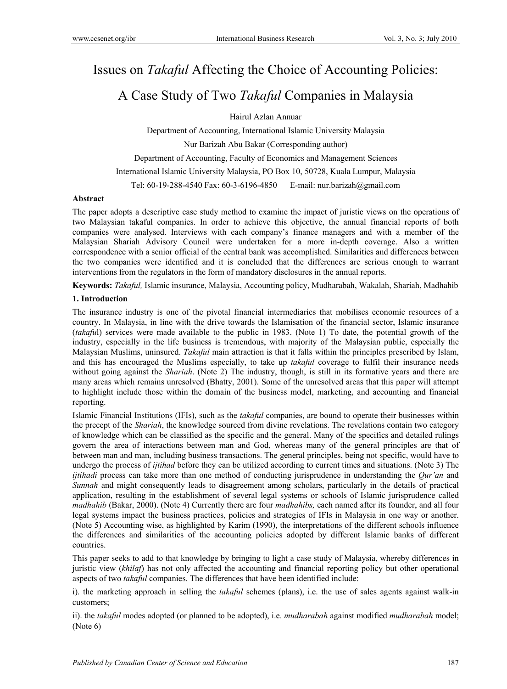# Issues on *Takaful* Affecting the Choice of Accounting Policies:

# A Case Study of Two *Takaful* Companies in Malaysia

Hairul Azlan Annuar

Department of Accounting, International Islamic University Malaysia Nur Barizah Abu Bakar (Corresponding author)

Department of Accounting, Faculty of Economics and Management Sciences

International Islamic University Malaysia, PO Box 10, 50728, Kuala Lumpur, Malaysia

Tel: 60-19-288-4540 Fax: 60-3-6196-4850 E-mail: nur.barizah@gmail.com

## **Abstract**

The paper adopts a descriptive case study method to examine the impact of juristic views on the operations of two Malaysian takaful companies. In order to achieve this objective, the annual financial reports of both companies were analysed. Interviews with each company's finance managers and with a member of the Malaysian Shariah Advisory Council were undertaken for a more in-depth coverage. Also a written correspondence with a senior official of the central bank was accomplished. Similarities and differences between the two companies were identified and it is concluded that the differences are serious enough to warrant interventions from the regulators in the form of mandatory disclosures in the annual reports.

**Keywords:** *Takaful,* Islamic insurance, Malaysia, Accounting policy, Mudharabah, Wakalah, Shariah, Madhahib

# **1. Introduction**

The insurance industry is one of the pivotal financial intermediaries that mobilises economic resources of a country. In Malaysia, in line with the drive towards the Islamisation of the financial sector, Islamic insurance (*takafu*l) services were made available to the public in 1983. (Note 1) To date, the potential growth of the industry, especially in the life business is tremendous, with majority of the Malaysian public, especially the Malaysian Muslims, uninsured. *Takaful* main attraction is that it falls within the principles prescribed by Islam, and this has encouraged the Muslims especially, to take up *takaful* coverage to fulfil their insurance needs without going against the *Shariah*. (Note 2) The industry, though, is still in its formative years and there are many areas which remains unresolved (Bhatty, 2001). Some of the unresolved areas that this paper will attempt to highlight include those within the domain of the business model, marketing, and accounting and financial reporting.

Islamic Financial Institutions (IFIs), such as the *takaful* companies, are bound to operate their businesses within the precept of the *Shariah*, the knowledge sourced from divine revelations. The revelations contain two category of knowledge which can be classified as the specific and the general. Many of the specifics and detailed rulings govern the area of interactions between man and God, whereas many of the general principles are that of between man and man, including business transactions. The general principles, being not specific, would have to undergo the process of *ijtihad* before they can be utilized according to current times and situations. (Note 3) The *ijtihadi* process can take more than one method of conducting jurisprudence in understanding the *Qur'an* and *Sunnah* and might consequently leads to disagreement among scholars, particularly in the details of practical application, resulting in the establishment of several legal systems or schools of Islamic jurisprudence called *madhahib* (Bakar, 2000). (Note 4) Currently there are four *madhahibs,* each named after its founder, and all four legal systems impact the business practices, policies and strategies of IFIs in Malaysia in one way or another. (Note 5) Accounting wise, as highlighted by Karim (1990), the interpretations of the different schools influence the differences and similarities of the accounting policies adopted by different Islamic banks of different countries.

This paper seeks to add to that knowledge by bringing to light a case study of Malaysia, whereby differences in juristic view (*khilaf*) has not only affected the accounting and financial reporting policy but other operational aspects of two *takaful* companies. The differences that have been identified include:

i). the marketing approach in selling the *takaful* schemes (plans), i.e. the use of sales agents against walk-in customers;

ii). the *takaful* modes adopted (or planned to be adopted), i.e. *mudharabah* against modified *mudharabah* model; (Note 6)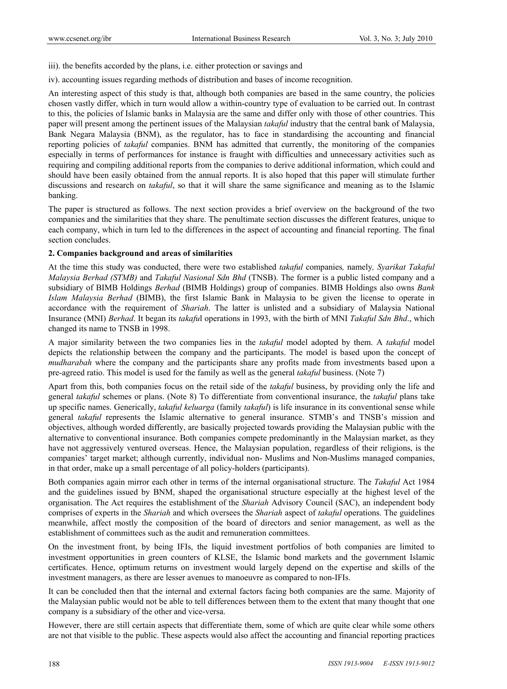- iii). the benefits accorded by the plans, i.e. either protection or savings and
- iv). accounting issues regarding methods of distribution and bases of income recognition.

An interesting aspect of this study is that, although both companies are based in the same country, the policies chosen vastly differ, which in turn would allow a within-country type of evaluation to be carried out. In contrast to this, the policies of Islamic banks in Malaysia are the same and differ only with those of other countries. This paper will present among the pertinent issues of the Malaysian *takaful* industry that the central bank of Malaysia, Bank Negara Malaysia (BNM), as the regulator, has to face in standardising the accounting and financial reporting policies of *takaful* companies. BNM has admitted that currently, the monitoring of the companies especially in terms of performances for instance is fraught with difficulties and unnecessary activities such as requiring and compiling additional reports from the companies to derive additional information, which could and should have been easily obtained from the annual reports. It is also hoped that this paper will stimulate further discussions and research on *takaful*, so that it will share the same significance and meaning as to the Islamic banking.

The paper is structured as follows. The next section provides a brief overview on the background of the two companies and the similarities that they share. The penultimate section discusses the different features, unique to each company, which in turn led to the differences in the aspect of accounting and financial reporting. The final section concludes.

#### **2. Companies background and areas of similarities**

At the time this study was conducted, there were two established *takaful* companies*,* namely*, Syarikat Takaful Malaysia Berhad (STMB)* and *Takaful Nasional Sdn Bhd* (TNSB). The former is a public listed company and a subsidiary of BIMB Holdings *Berhad* (BIMB Holdings) group of companies. BIMB Holdings also owns *Bank Islam Malaysia Berhad* (BIMB), the first Islamic Bank in Malaysia to be given the license to operate in accordance with the requirement of *Shariah*. The latter is unlisted and a subsidiary of Malaysia National Insurance (MNI) *Berhad*. It began its *takafu*l operations in 1993, with the birth of MNI *Takaful Sdn Bhd*., which changed its name to TNSB in 1998.

A major similarity between the two companies lies in the *takaful* model adopted by them. A *takaful* model depicts the relationship between the company and the participants. The model is based upon the concept of *mudharabah* where the company and the participants share any profits made from investments based upon a pre-agreed ratio. This model is used for the family as well as the general *takaful* business. (Note 7)

Apart from this, both companies focus on the retail side of the *takaful* business, by providing only the life and general *takaful* schemes or plans. (Note 8) To differentiate from conventional insurance, the *takaful* plans take up specific names. Generically, *takaful keluarga* (family *takaful*) is life insurance in its conventional sense while general *takaful* represents the Islamic alternative to general insurance. STMB's and TNSB's mission and objectives, although worded differently, are basically projected towards providing the Malaysian public with the alternative to conventional insurance. Both companies compete predominantly in the Malaysian market, as they have not aggressively ventured overseas. Hence, the Malaysian population, regardless of their religions, is the companies' target market; although currently, individual non- Muslims and Non-Muslims managed companies, in that order, make up a small percentage of all policy-holders (participants).

Both companies again mirror each other in terms of the internal organisational structure. The *Takaful* Act 1984 and the guidelines issued by BNM, shaped the organisational structure especially at the highest level of the organisation. The Act requires the establishment of the *Shariah* Advisory Council (SAC), an independent body comprises of experts in the *Shariah* and which oversees the *Shariah* aspect of *takaful* operations. The guidelines meanwhile, affect mostly the composition of the board of directors and senior management, as well as the establishment of committees such as the audit and remuneration committees.

On the investment front, by being IFIs, the liquid investment portfolios of both companies are limited to investment opportunities in green counters of KLSE, the Islamic bond markets and the government Islamic certificates. Hence, optimum returns on investment would largely depend on the expertise and skills of the investment managers, as there are lesser avenues to manoeuvre as compared to non-IFIs.

It can be concluded then that the internal and external factors facing both companies are the same. Majority of the Malaysian public would not be able to tell differences between them to the extent that many thought that one company is a subsidiary of the other and vice-versa.

However, there are still certain aspects that differentiate them, some of which are quite clear while some others are not that visible to the public. These aspects would also affect the accounting and financial reporting practices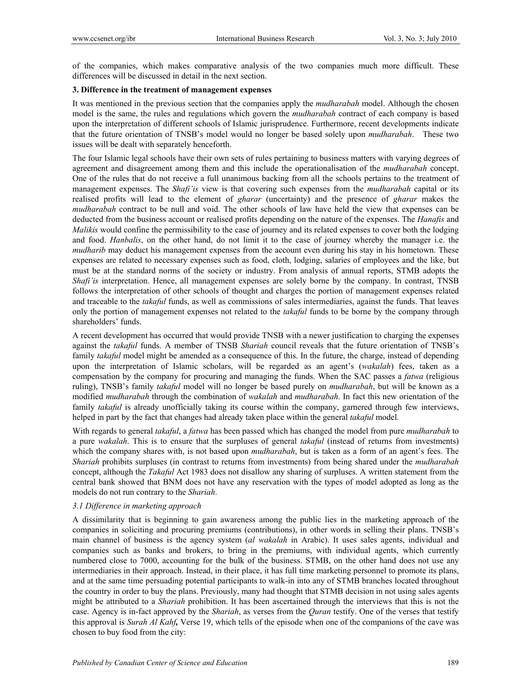of the companies, which makes comparative analysis of the two companies much more difficult. These differences will be discussed in detail in the next section.

#### **3. Difference in the treatment of management expenses**

It was mentioned in the previous section that the companies apply the *mudharabah* model. Although the chosen model is the same, the rules and regulations which govern the *mudharabah* contract of each company is based upon the interpretation of different schools of Islamic jurisprudence. Furthermore, recent developments indicate that the future orientation of TNSB's model would no longer be based solely upon *mudharabah*. These two issues will be dealt with separately henceforth.

The four Islamic legal schools have their own sets of rules pertaining to business matters with varying degrees of agreement and disagreement among them and this include the operationalisation of the *mudharabah* concept. One of the rules that do not receive a full unanimous backing from all the schools pertains to the treatment of management expenses. The *Shafi'is* view is that covering such expenses from the *mudharabah* capital or its realised profits will lead to the element of *gharar* (uncertainty) and the presence of *gharar* makes the *mudharabah* contract to be null and void. The other schools of law have held the view that expenses can be deducted from the business account or realised profits depending on the nature of the expenses. The *Hanafis* and *Malikis* would confine the permissibility to the case of journey and its related expenses to cover both the lodging and food. *Hanbalis*, on the other hand, do not limit it to the case of journey whereby the manager i.e. the *mudharib* may deduct his management expenses from the account even during his stay in his hometown. These expenses are related to necessary expenses such as food, cloth, lodging, salaries of employees and the like, but must be at the standard norms of the society or industry. From analysis of annual reports, STMB adopts the *Shafi'is* interpretation. Hence, all management expenses are solely borne by the company. In contrast, TNSB follows the interpretation of other schools of thought and charges the portion of management expenses related and traceable to the *takaful* funds, as well as commissions of sales intermediaries, against the funds. That leaves only the portion of management expenses not related to the *takaful* funds to be borne by the company through shareholders' funds.

A recent development has occurred that would provide TNSB with a newer justification to charging the expenses against the *takaful* funds. A member of TNSB *Shariah* council reveals that the future orientation of TNSB's family *takaful* model might be amended as a consequence of this. In the future, the charge, instead of depending upon the interpretation of Islamic scholars, will be regarded as an agent's (*wakalah*) fees, taken as a compensation by the company for procuring and managing the funds. When the SAC passes a *fatwa* (religious ruling), TNSB's family *takaful* model will no longer be based purely on *mudharabah*, but will be known as a modified *mudharabah* through the combination of *wakalah* and *mudharabah*. In fact this new orientation of the family *takaful* is already unofficially taking its course within the company, garnered through few interviews, helped in part by the fact that changes had already taken place within the general *takaful* model*.* 

With regards to general *takaful*, a *fatwa* has been passed which has changed the model from pure *mudharabah* to a pure *wakalah*. This is to ensure that the surpluses of general *takaful* (instead of returns from investments) which the company shares with, is not based upon *mudharabah*, but is taken as a form of an agent's fees. The *Shariah* prohibits surpluses (in contrast to returns from investments) from being shared under the *mudharabah*  concept, although the *Takaful* Act 1983 does not disallow any sharing of surpluses. A written statement from the central bank showed that BNM does not have any reservation with the types of model adopted as long as the models do not run contrary to the *Shariah*.

## *3.1 Difference in marketing approach*

A dissimilarity that is beginning to gain awareness among the public lies in the marketing approach of the companies in soliciting and procuring premiums (contributions), in other words in selling their plans. TNSB's main channel of business is the agency system (*al wakalah* in Arabic). It uses sales agents, individual and companies such as banks and brokers, to bring in the premiums, with individual agents, which currently numbered close to 7000, accounting for the bulk of the business. STMB, on the other hand does not use any intermediaries in their approach. Instead, in their place, it has full time marketing personnel to promote its plans, and at the same time persuading potential participants to walk-in into any of STMB branches located throughout the country in order to buy the plans. Previously, many had thought that STMB decision in not using sales agents might be attributed to a *Shariah* prohibition. It has been ascertained through the interviews that this is not the case. Agency is in-fact approved by the *Shariah*, as verses from the *Quran* testify. One of the verses that testify this approval is *Surah Al Kahf,* Verse 19, which tells of the episode when one of the companions of the cave was chosen to buy food from the city: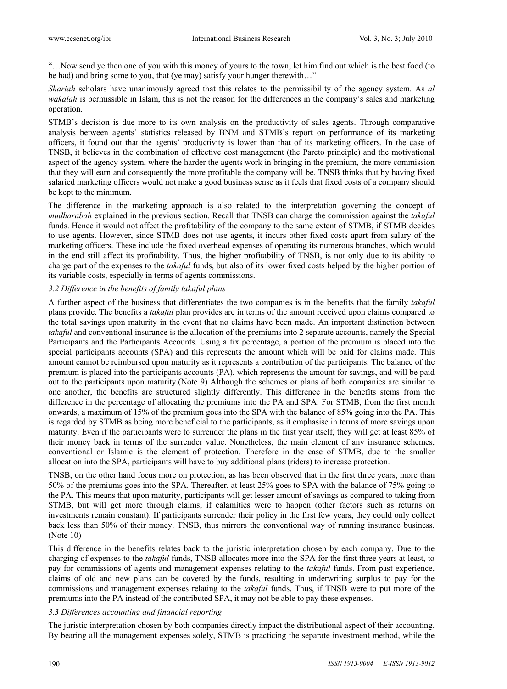"…Now send ye then one of you with this money of yours to the town, let him find out which is the best food (to be had) and bring some to you, that (ye may) satisfy your hunger therewith…"

*Shariah* scholars have unanimously agreed that this relates to the permissibility of the agency system. As *al wakalah* is permissible in Islam, this is not the reason for the differences in the company's sales and marketing operation.

STMB's decision is due more to its own analysis on the productivity of sales agents. Through comparative analysis between agents' statistics released by BNM and STMB's report on performance of its marketing officers, it found out that the agents' productivity is lower than that of its marketing officers. In the case of TNSB, it believes in the combination of effective cost management (the Pareto principle) and the motivational aspect of the agency system, where the harder the agents work in bringing in the premium, the more commission that they will earn and consequently the more profitable the company will be. TNSB thinks that by having fixed salaried marketing officers would not make a good business sense as it feels that fixed costs of a company should be kept to the minimum.

The difference in the marketing approach is also related to the interpretation governing the concept of *mudharabah* explained in the previous section. Recall that TNSB can charge the commission against the *takaful* funds. Hence it would not affect the profitability of the company to the same extent of STMB, if STMB decides to use agents. However, since STMB does not use agents, it incurs other fixed costs apart from salary of the marketing officers. These include the fixed overhead expenses of operating its numerous branches, which would in the end still affect its profitability. Thus, the higher profitability of TNSB, is not only due to its ability to charge part of the expenses to the *takaful* funds, but also of its lower fixed costs helped by the higher portion of its variable costs, especially in terms of agents commissions.

## *3.2 Difference in the benefits of family takaful plans*

A further aspect of the business that differentiates the two companies is in the benefits that the family *takaful* plans provide. The benefits a *takaful* plan provides are in terms of the amount received upon claims compared to the total savings upon maturity in the event that no claims have been made. An important distinction between *takaful* and conventional insurance is the allocation of the premiums into 2 separate accounts, namely the Special Participants and the Participants Accounts. Using a fix percentage, a portion of the premium is placed into the special participants accounts (SPA) and this represents the amount which will be paid for claims made. This amount cannot be reimbursed upon maturity as it represents a contribution of the participants. The balance of the premium is placed into the participants accounts (PA), which represents the amount for savings, and will be paid out to the participants upon maturity.(Note 9) Although the schemes or plans of both companies are similar to one another, the benefits are structured slightly differently. This difference in the benefits stems from the difference in the percentage of allocating the premiums into the PA and SPA. For STMB, from the first month onwards, a maximum of 15% of the premium goes into the SPA with the balance of 85% going into the PA. This is regarded by STMB as being more beneficial to the participants, as it emphasise in terms of more savings upon maturity. Even if the participants were to surrender the plans in the first year itself, they will get at least 85% of their money back in terms of the surrender value. Nonetheless, the main element of any insurance schemes, conventional or Islamic is the element of protection. Therefore in the case of STMB, due to the smaller allocation into the SPA, participants will have to buy additional plans (riders) to increase protection.

TNSB, on the other hand focus more on protection, as has been observed that in the first three years, more than 50% of the premiums goes into the SPA. Thereafter, at least 25% goes to SPA with the balance of 75% going to the PA. This means that upon maturity, participants will get lesser amount of savings as compared to taking from STMB, but will get more through claims, if calamities were to happen (other factors such as returns on investments remain constant). If participants surrender their policy in the first few years, they could only collect back less than 50% of their money. TNSB, thus mirrors the conventional way of running insurance business. (Note 10)

This difference in the benefits relates back to the juristic interpretation chosen by each company. Due to the charging of expenses to the *takaful* funds, TNSB allocates more into the SPA for the first three years at least, to pay for commissions of agents and management expenses relating to the *takaful* funds. From past experience, claims of old and new plans can be covered by the funds, resulting in underwriting surplus to pay for the commissions and management expenses relating to the *takaful* funds. Thus, if TNSB were to put more of the premiums into the PA instead of the contributed SPA, it may not be able to pay these expenses.

## *3.3 Differences accounting and financial reporting*

The juristic interpretation chosen by both companies directly impact the distributional aspect of their accounting. By bearing all the management expenses solely, STMB is practicing the separate investment method, while the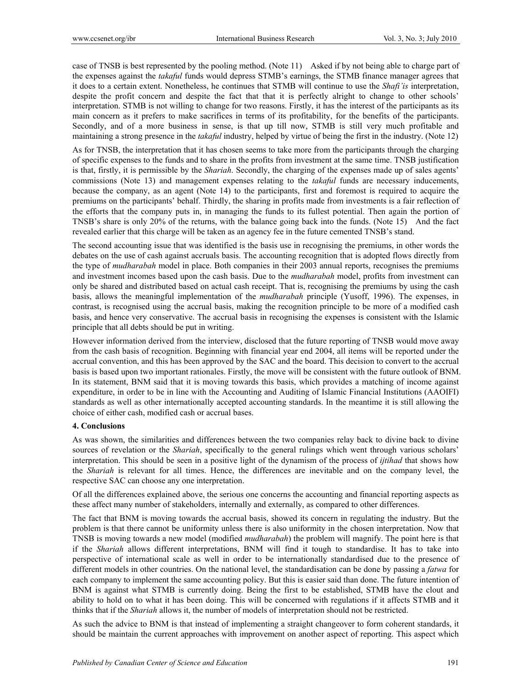case of TNSB is best represented by the pooling method. (Note 11) Asked if by not being able to charge part of the expenses against the *takaful* funds would depress STMB's earnings, the STMB finance manager agrees that it does to a certain extent. Nonetheless, he continues that STMB will continue to use the *Shafi'is* interpretation, despite the profit concern and despite the fact that that it is perfectly alright to change to other schools' interpretation. STMB is not willing to change for two reasons. Firstly, it has the interest of the participants as its main concern as it prefers to make sacrifices in terms of its profitability, for the benefits of the participants. Secondly, and of a more business in sense, is that up till now, STMB is still very much profitable and maintaining a strong presence in the *takaful* industry, helped by virtue of being the first in the industry. (Note 12)

As for TNSB, the interpretation that it has chosen seems to take more from the participants through the charging of specific expenses to the funds and to share in the profits from investment at the same time. TNSB justification is that, firstly, it is permissible by the *Shariah*. Secondly, the charging of the expenses made up of sales agents' commissions (Note 13) and management expenses relating to the *takaful* funds are necessary inducements, because the company, as an agent (Note 14) to the participants, first and foremost is required to acquire the premiums on the participants' behalf. Thirdly, the sharing in profits made from investments is a fair reflection of the efforts that the company puts in, in managing the funds to its fullest potential. Then again the portion of TNSB's share is only 20% of the returns, with the balance going back into the funds. (Note 15) And the fact revealed earlier that this charge will be taken as an agency fee in the future cemented TNSB's stand.

The second accounting issue that was identified is the basis use in recognising the premiums, in other words the debates on the use of cash against accruals basis. The accounting recognition that is adopted flows directly from the type of *mudharabah* model in place. Both companies in their 2003 annual reports, recognises the premiums and investment incomes based upon the cash basis. Due to the *mudharabah* model, profits from investment can only be shared and distributed based on actual cash receipt. That is, recognising the premiums by using the cash basis, allows the meaningful implementation of the *mudharabah* principle (Yusoff, 1996). The expenses, in contrast, is recognised using the accrual basis, making the recognition principle to be more of a modified cash basis, and hence very conservative. The accrual basis in recognising the expenses is consistent with the Islamic principle that all debts should be put in writing.

However information derived from the interview, disclosed that the future reporting of TNSB would move away from the cash basis of recognition. Beginning with financial year end 2004, all items will be reported under the accrual convention, and this has been approved by the SAC and the board. This decision to convert to the accrual basis is based upon two important rationales. Firstly, the move will be consistent with the future outlook of BNM. In its statement, BNM said that it is moving towards this basis, which provides a matching of income against expenditure, in order to be in line with the Accounting and Auditing of Islamic Financial Institutions (AAOIFI) standards as well as other internationally accepted accounting standards. In the meantime it is still allowing the choice of either cash, modified cash or accrual bases.

## **4. Conclusions**

As was shown, the similarities and differences between the two companies relay back to divine back to divine sources of revelation or the *Shariah*, specifically to the general rulings which went through various scholars' interpretation. This should be seen in a positive light of the dynamism of the process of *ijtihad* that shows how the *Shariah* is relevant for all times. Hence, the differences are inevitable and on the company level, the respective SAC can choose any one interpretation.

Of all the differences explained above, the serious one concerns the accounting and financial reporting aspects as these affect many number of stakeholders, internally and externally, as compared to other differences.

The fact that BNM is moving towards the accrual basis, showed its concern in regulating the industry. But the problem is that there cannot be uniformity unless there is also uniformity in the chosen interpretation. Now that TNSB is moving towards a new model (modified *mudharabah*) the problem will magnify. The point here is that if the *Shariah* allows different interpretations, BNM will find it tough to standardise. It has to take into perspective of international scale as well in order to be internationally standardised due to the presence of different models in other countries. On the national level, the standardisation can be done by passing a *fatwa* for each company to implement the same accounting policy. But this is easier said than done. The future intention of BNM is against what STMB is currently doing. Being the first to be established, STMB have the clout and ability to hold on to what it has been doing. This will be concerned with regulations if it affects STMB and it thinks that if the *Shariah* allows it, the number of models of interpretation should not be restricted.

As such the advice to BNM is that instead of implementing a straight changeover to form coherent standards, it should be maintain the current approaches with improvement on another aspect of reporting. This aspect which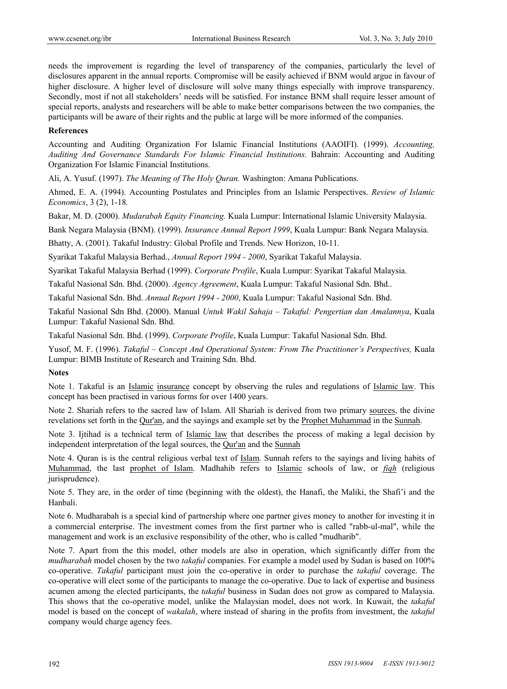needs the improvement is regarding the level of transparency of the companies, particularly the level of disclosures apparent in the annual reports. Compromise will be easily achieved if BNM would argue in favour of higher disclosure. A higher level of disclosure will solve many things especially with improve transparency. Secondly, most if not all stakeholders' needs will be satisfied. For instance BNM shall require lesser amount of special reports, analysts and researchers will be able to make better comparisons between the two companies, the participants will be aware of their rights and the public at large will be more informed of the companies.

#### **References**

Accounting and Auditing Organization For Islamic Financial Institutions (AAOIFI). (1999). *Accounting, Auditing And Governance Standards For Islamic Financial Institutions.* Bahrain: Accounting and Auditing Organization For Islamic Financial Institutions.

Ali, A. Yusuf. (1997). *The Meaning of The Holy Quran.* Washington: Amana Publications.

Ahmed, E. A. (1994). Accounting Postulates and Principles from an Islamic Perspectives. *Review of Islamic Economics*, 3 (2), 1-18*.*

Bakar, M. D. (2000). *Mudarabah Equity Financing.* Kuala Lumpur: International Islamic University Malaysia.

Bank Negara Malaysia (BNM). (1999). *Insurance Annual Report 1999*, Kuala Lumpur: Bank Negara Malaysia.

Bhatty, A. (2001). Takaful Industry: Global Profile and Trends. New Horizon, 10-11.

Syarikat Takaful Malaysia Berhad., *Annual Report 1994 - 2000*, Syarikat Takaful Malaysia.

Syarikat Takaful Malaysia Berhad (1999). *Corporate Profile*, Kuala Lumpur: Syarikat Takaful Malaysia.

Takaful Nasional Sdn. Bhd. (2000). *Agency Agreement*, Kuala Lumpur: Takaful Nasional Sdn. Bhd..

Takaful Nasional Sdn. Bhd. *Annual Report 1994 - 2000*, Kuala Lumpur: Takaful Nasional Sdn. Bhd.

Takaful Nasional Sdn Bhd. (2000). Manual *Untuk Wakil Sahaja – Takaful: Pengertian dan Amalannya*, Kuala Lumpur: Takaful Nasional Sdn. Bhd.

Takaful Nasional Sdn. Bhd. (1999). *Corporate Profile*, Kuala Lumpur: Takaful Nasional Sdn. Bhd.

Yusof, M. F. (1996). *Takaful – Concept And Operational System: From The Practitioner's Perspectives,* Kuala Lumpur: BIMB Institute of Research and Training Sdn. Bhd.

## **Notes**

Note 1. Takaful is an Islamic insurance concept by observing the rules and regulations of Islamic law. This concept has been practised in various forms for over 1400 years.

Note 2. Shariah refers to the sacred law of Islam. All Shariah is derived from two primary sources, the divine revelations set forth in the Qur'an, and the sayings and example set by the Prophet Muhammad in the Sunnah.

Note 3. Ijtihad is a technical term of Islamic law that describes the process of making a legal decision by independent interpretation of the legal sources, the *Qur'an* and the *Sunnah* 

Note 4. Quran is is the central religious verbal text of Islam. Sunnah refers to the sayings and living habits of Muhammad, the last prophet of Islam. Madhahib refers to Islamic schools of law, or *fiqh* (religious jurisprudence).

Note 5. They are, in the order of time (beginning with the oldest), the Hanafi, the Maliki, the Shafi'i and the Hanbali.

Note 6. Mudharabah is a special kind of partnership where one partner gives money to another for investing it in a commercial enterprise. The investment comes from the first partner who is called "rabb-ul-mal", while the management and work is an exclusive responsibility of the other, who is called "mudharib".

Note 7. Apart from the this model, other models are also in operation, which significantly differ from the *mudharabah* model chosen by the two *takaful* companies. For example a model used by Sudan is based on 100% co-operative. *Takaful* participant must join the co-operative in order to purchase the *takaful* coverage. The co-operative will elect some of the participants to manage the co-operative. Due to lack of expertise and business acumen among the elected participants, the *takaful* business in Sudan does not grow as compared to Malaysia. This shows that the co-operative model, unlike the Malaysian model, does not work. In Kuwait, the *takaful* model is based on the concept of *wakalah*, where instead of sharing in the profits from investment, the *takaful* company would charge agency fees.